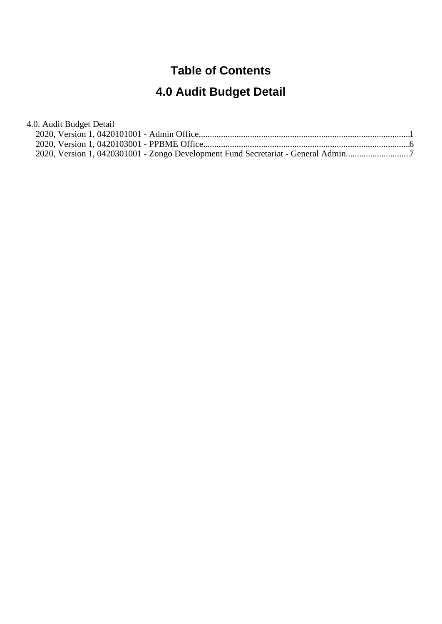# **Table of Contents**

# **4.0 Audit Budget Detail**

| 4.0. Audit Budget Detail                                                          |  |
|-----------------------------------------------------------------------------------|--|
|                                                                                   |  |
|                                                                                   |  |
| 2020, Version 1, 0420301001 - Zongo Development Fund Secretariat - General Admin7 |  |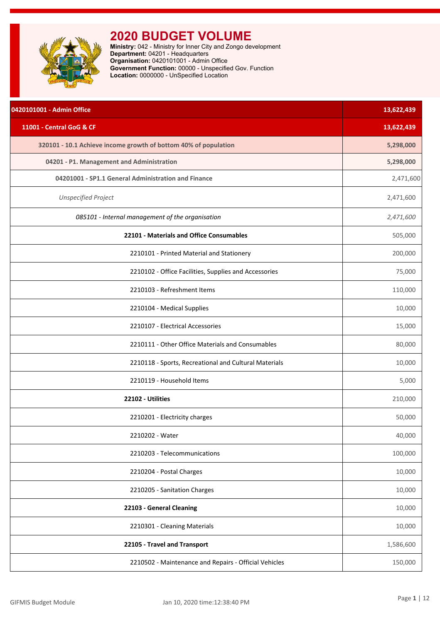<span id="page-1-0"></span>

| 0420101001 - Admin Office                                       | 13,622,439 |
|-----------------------------------------------------------------|------------|
| 11001 - Central GoG & CF                                        | 13,622,439 |
| 320101 - 10.1 Achieve income growth of bottom 40% of population | 5,298,000  |
| 04201 - P1. Management and Administration                       | 5,298,000  |
| 04201001 - SP1.1 General Administration and Finance             | 2,471,600  |
| <b>Unspecified Project</b>                                      | 2,471,600  |
| 085101 - Internal management of the organisation                | 2,471,600  |
| 22101 - Materials and Office Consumables                        | 505,000    |
| 2210101 - Printed Material and Stationery                       | 200,000    |
| 2210102 - Office Facilities, Supplies and Accessories           | 75,000     |
| 2210103 - Refreshment Items                                     | 110,000    |
| 2210104 - Medical Supplies                                      | 10,000     |
| 2210107 - Electrical Accessories                                | 15,000     |
| 2210111 - Other Office Materials and Consumables                | 80,000     |
| 2210118 - Sports, Recreational and Cultural Materials           | 10,000     |
| 2210119 - Household Items                                       | 5,000      |
| 22102 - Utilities                                               | 210,000    |
| 2210201 - Electricity charges                                   | 50,000     |
| 2210202 - Water                                                 | 40,000     |
| 2210203 - Telecommunications                                    | 100,000    |
| 2210204 - Postal Charges                                        | 10,000     |
| 2210205 - Sanitation Charges                                    | 10,000     |
| 22103 - General Cleaning                                        | 10,000     |
| 2210301 - Cleaning Materials                                    | 10,000     |
| 22105 - Travel and Transport                                    | 1,586,600  |
| 2210502 - Maintenance and Repairs - Official Vehicles           | 150,000    |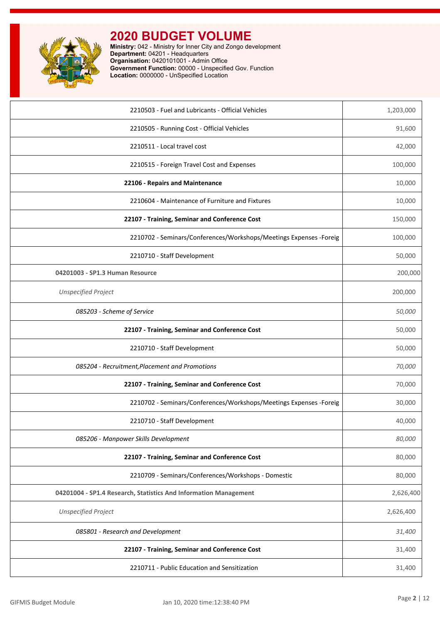

| 2210503 - Fuel and Lubricants - Official Vehicles                   | 1,203,000 |
|---------------------------------------------------------------------|-----------|
| 2210505 - Running Cost - Official Vehicles                          | 91,600    |
| 2210511 - Local travel cost                                         | 42,000    |
| 2210515 - Foreign Travel Cost and Expenses                          | 100,000   |
| 22106 - Repairs and Maintenance                                     | 10,000    |
| 2210604 - Maintenance of Furniture and Fixtures                     | 10,000    |
| 22107 - Training, Seminar and Conference Cost                       | 150,000   |
| 2210702 - Seminars/Conferences/Workshops/Meetings Expenses - Foreig | 100,000   |
| 2210710 - Staff Development                                         | 50,000    |
| 04201003 - SP1.3 Human Resource                                     | 200,000   |
| <b>Unspecified Project</b>                                          | 200,000   |
| 085203 - Scheme of Service                                          | 50,000    |
| 22107 - Training, Seminar and Conference Cost                       | 50,000    |
| 2210710 - Staff Development                                         | 50,000    |
| 085204 - Recruitment, Placement and Promotions                      | 70,000    |
| 22107 - Training, Seminar and Conference Cost                       | 70,000    |
| 2210702 - Seminars/Conferences/Workshops/Meetings Expenses - Foreig | 30,000    |
| 2210710 - Staff Development                                         | 40,000    |
| 085206 - Manpower Skills Development                                | 80,000    |
| 22107 - Training, Seminar and Conference Cost                       | 80,000    |
| 2210709 - Seminars/Conferences/Workshops - Domestic                 | 80,000    |
| 04201004 - SP1.4 Research, Statistics And Information Management    | 2,626,400 |
| <b>Unspecified Project</b>                                          | 2,626,400 |
| 085801 - Research and Development                                   | 31,400    |
| 22107 - Training, Seminar and Conference Cost                       | 31,400    |
| 2210711 - Public Education and Sensitization                        | 31,400    |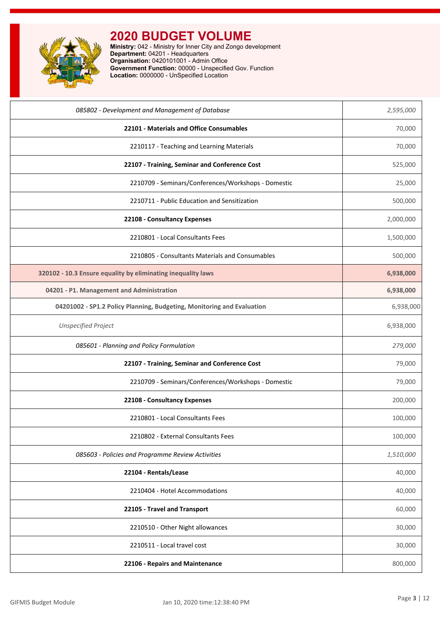

| 085802 - Development and Management of Database                        | 2,595,000 |
|------------------------------------------------------------------------|-----------|
| 22101 - Materials and Office Consumables                               | 70,000    |
| 2210117 - Teaching and Learning Materials                              | 70,000    |
| 22107 - Training, Seminar and Conference Cost                          | 525,000   |
| 2210709 - Seminars/Conferences/Workshops - Domestic                    | 25,000    |
| 2210711 - Public Education and Sensitization                           | 500,000   |
| 22108 - Consultancy Expenses                                           | 2,000,000 |
| 2210801 - Local Consultants Fees                                       | 1,500,000 |
| 2210805 - Consultants Materials and Consumables                        | 500,000   |
| 320102 - 10.3 Ensure equality by eliminating inequality laws           | 6,938,000 |
| 04201 - P1. Management and Administration                              | 6,938,000 |
| 04201002 - SP1.2 Policy Planning, Budgeting, Monitoring and Evaluation | 6,938,000 |
| <b>Unspecified Project</b>                                             | 6,938,000 |
| 085601 - Planning and Policy Formulation                               | 279,000   |
| 22107 - Training, Seminar and Conference Cost                          | 79,000    |
| 2210709 - Seminars/Conferences/Workshops - Domestic                    | 79,000    |
| 22108 - Consultancy Expenses                                           | 200,000   |
| 2210801 - Local Consultants Fees                                       | 100,000   |
| 2210802 - External Consultants Fees                                    | 100,000   |
| 085603 - Policies and Programme Review Activities                      | 1,510,000 |
| 22104 - Rentals/Lease                                                  | 40,000    |
| 2210404 - Hotel Accommodations                                         | 40,000    |
| 22105 - Travel and Transport                                           | 60,000    |
| 2210510 - Other Night allowances                                       | 30,000    |
| 2210511 - Local travel cost                                            | 30,000    |
| 22106 - Repairs and Maintenance                                        | 800,000   |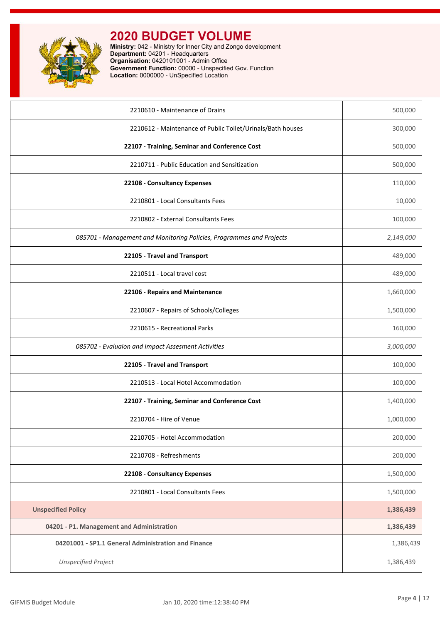

| 2210610 - Maintenance of Drains                                      | 500,000   |
|----------------------------------------------------------------------|-----------|
| 2210612 - Maintenance of Public Toilet/Urinals/Bath houses           | 300,000   |
| 22107 - Training, Seminar and Conference Cost                        | 500,000   |
| 2210711 - Public Education and Sensitization                         | 500,000   |
| 22108 - Consultancy Expenses                                         | 110,000   |
| 2210801 - Local Consultants Fees                                     | 10,000    |
| 2210802 - External Consultants Fees                                  | 100,000   |
| 085701 - Management and Monitoring Policies, Programmes and Projects | 2,149,000 |
| 22105 - Travel and Transport                                         | 489,000   |
| 2210511 - Local travel cost                                          | 489,000   |
| 22106 - Repairs and Maintenance                                      | 1,660,000 |
| 2210607 - Repairs of Schools/Colleges                                | 1,500,000 |
| 2210615 - Recreational Parks                                         | 160,000   |
| 085702 - Evaluaion and Impact Assesment Activities                   | 3,000,000 |
| 22105 - Travel and Transport                                         | 100,000   |
| 2210513 - Local Hotel Accommodation                                  | 100,000   |
| 22107 - Training, Seminar and Conference Cost                        | 1,400,000 |
| 2210704 - Hire of Venue                                              | 1,000,000 |
| 2210705 - Hotel Accommodation                                        | 200,000   |
| 2210708 - Refreshments                                               | 200,000   |
| 22108 - Consultancy Expenses                                         | 1,500,000 |
| 2210801 - Local Consultants Fees                                     | 1,500,000 |
| <b>Unspecified Policy</b>                                            | 1,386,439 |
| 04201 - P1. Management and Administration                            | 1,386,439 |
| 04201001 - SP1.1 General Administration and Finance                  | 1,386,439 |
| <b>Unspecified Project</b>                                           | 1,386,439 |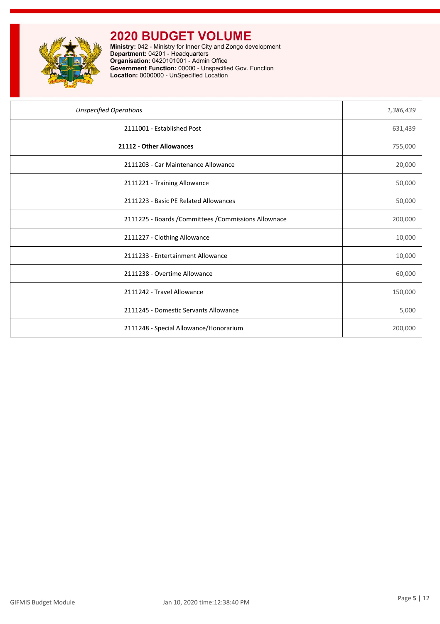

| <b>Unspecified Operations</b>                         | 1,386,439 |
|-------------------------------------------------------|-----------|
| 2111001 - Established Post                            | 631,439   |
| 21112 - Other Allowances                              | 755,000   |
| 2111203 - Car Maintenance Allowance                   | 20,000    |
| 2111221 - Training Allowance                          | 50,000    |
| 2111223 - Basic PE Related Allowances                 | 50,000    |
| 2111225 - Boards / Committees / Commissions Allownace | 200,000   |
| 2111227 - Clothing Allowance                          | 10,000    |
| 2111233 - Entertainment Allowance                     | 10,000    |
| 2111238 - Overtime Allowance                          | 60,000    |
| 2111242 - Travel Allowance                            | 150,000   |
| 2111245 - Domestic Servants Allowance                 | 5,000     |
| 2111248 - Special Allowance/Honorarium                | 200,000   |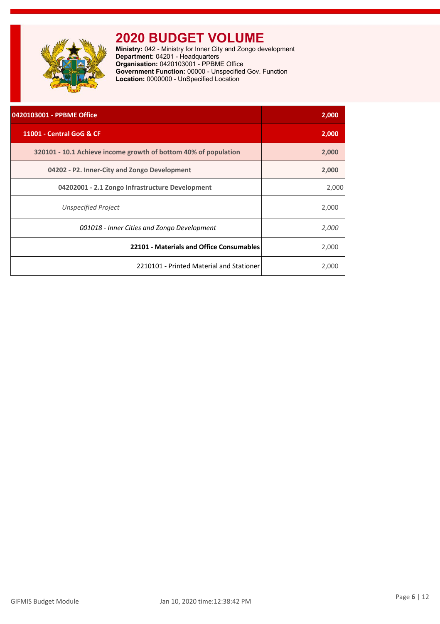<span id="page-6-0"></span>

| 0420103001 - PPBME Office                                       | 2,000 |
|-----------------------------------------------------------------|-------|
| 11001 - Central GoG & CF                                        | 2,000 |
| 320101 - 10.1 Achieve income growth of bottom 40% of population | 2,000 |
| 04202 - P2. Inner-City and Zongo Development                    | 2,000 |
| 04202001 - 2.1 Zongo Infrastructure Development                 | 2,000 |
| <b>Unspecified Project</b>                                      | 2,000 |
| 001018 - Inner Cities and Zongo Development                     | 2,000 |
| 22101 - Materials and Office Consumables                        | 2,000 |
| 2210101 - Printed Material and Stationer                        | 2,000 |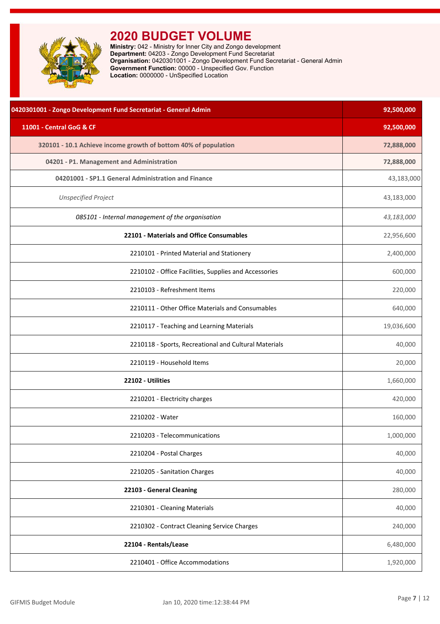<span id="page-7-0"></span>

| 0420301001 - Zongo Development Fund Secretariat - General Admin | 92,500,000 |
|-----------------------------------------------------------------|------------|
| 11001 - Central GoG & CF                                        | 92,500,000 |
| 320101 - 10.1 Achieve income growth of bottom 40% of population | 72,888,000 |
| 04201 - P1. Management and Administration                       | 72,888,000 |
| 04201001 - SP1.1 General Administration and Finance             | 43,183,000 |
| <b>Unspecified Project</b>                                      | 43,183,000 |
| 085101 - Internal management of the organisation                | 43,183,000 |
| 22101 - Materials and Office Consumables                        | 22,956,600 |
| 2210101 - Printed Material and Stationery                       | 2,400,000  |
| 2210102 - Office Facilities, Supplies and Accessories           | 600,000    |
| 2210103 - Refreshment Items                                     | 220,000    |
| 2210111 - Other Office Materials and Consumables                | 640,000    |
| 2210117 - Teaching and Learning Materials                       | 19,036,600 |
| 2210118 - Sports, Recreational and Cultural Materials           | 40,000     |
| 2210119 - Household Items                                       | 20,000     |
| 22102 - Utilities                                               | 1,660,000  |
| 2210201 - Electricity charges                                   | 420,000    |
| 2210202 - Water                                                 | 160,000    |
| 2210203 - Telecommunications                                    | 1,000,000  |
| 2210204 - Postal Charges                                        | 40,000     |
| 2210205 - Sanitation Charges                                    | 40,000     |
| 22103 - General Cleaning                                        | 280,000    |
| 2210301 - Cleaning Materials                                    | 40,000     |
| 2210302 - Contract Cleaning Service Charges                     | 240,000    |
| 22104 - Rentals/Lease                                           | 6,480,000  |
| 2210401 - Office Accommodations                                 | 1,920,000  |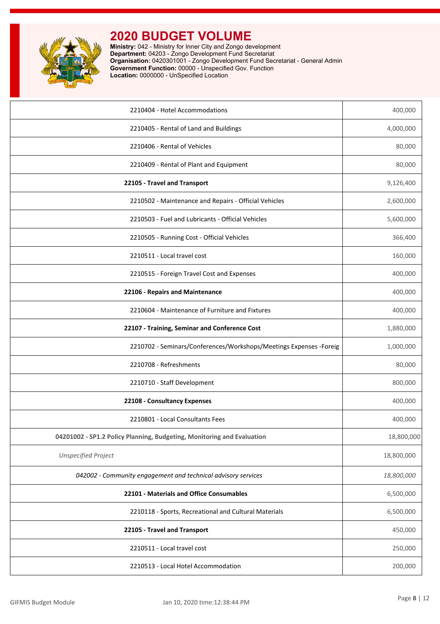

| 2210404 - Hotel Accommodations                                         | 400,000    |
|------------------------------------------------------------------------|------------|
| 2210405 - Rental of Land and Buildings                                 | 4,000,000  |
| 2210406 - Rental of Vehicles                                           | 80,000     |
| 2210409 - Rental of Plant and Equipment                                | 80,000     |
| 22105 - Travel and Transport                                           | 9,126,400  |
| 2210502 - Maintenance and Repairs - Official Vehicles                  | 2,600,000  |
| 2210503 - Fuel and Lubricants - Official Vehicles                      | 5,600,000  |
| 2210505 - Running Cost - Official Vehicles                             | 366,400    |
| 2210511 - Local travel cost                                            | 160,000    |
| 2210515 - Foreign Travel Cost and Expenses                             | 400,000    |
| 22106 - Repairs and Maintenance                                        | 400,000    |
| 2210604 - Maintenance of Furniture and Fixtures                        | 400,000    |
| 22107 - Training, Seminar and Conference Cost                          | 1,880,000  |
| 2210702 - Seminars/Conferences/Workshops/Meetings Expenses - Foreig    | 1,000,000  |
| 2210708 - Refreshments                                                 | 80,000     |
| 2210710 - Staff Development                                            | 800,000    |
| 22108 - Consultancy Expenses                                           | 400,000    |
| 2210801 - Local Consultants Fees                                       | 400,000    |
| 04201002 - SP1.2 Policy Planning, Budgeting, Monitoring and Evaluation | 18,800,000 |
| <b>Unspecified Project</b>                                             | 18,800,000 |
| 042002 - Community engagement and technical advisory services          | 18,800,000 |
| 22101 - Materials and Office Consumables                               | 6,500,000  |
| 2210118 - Sports, Recreational and Cultural Materials                  | 6,500,000  |
| 22105 - Travel and Transport                                           | 450,000    |
| 2210511 - Local travel cost                                            | 250,000    |
| 2210513 - Local Hotel Accommodation                                    | 200,000    |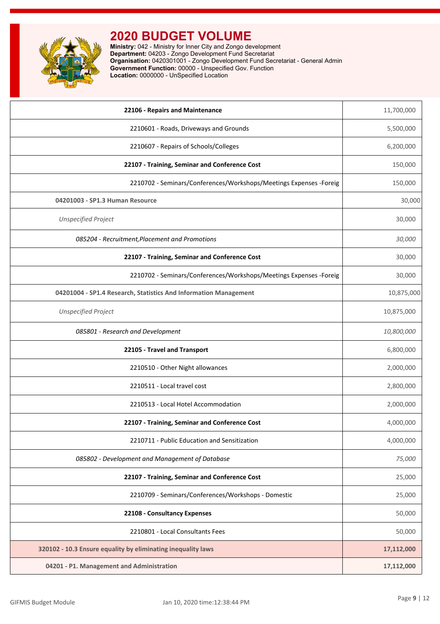

| 22106 - Repairs and Maintenance                                     | 11,700,000 |
|---------------------------------------------------------------------|------------|
| 2210601 - Roads, Driveways and Grounds                              | 5,500,000  |
| 2210607 - Repairs of Schools/Colleges                               | 6,200,000  |
| 22107 - Training, Seminar and Conference Cost                       | 150,000    |
| 2210702 - Seminars/Conferences/Workshops/Meetings Expenses - Foreig | 150,000    |
| 04201003 - SP1.3 Human Resource                                     | 30,000     |
| <b>Unspecified Project</b>                                          | 30,000     |
| 085204 - Recruitment, Placement and Promotions                      | 30,000     |
| 22107 - Training, Seminar and Conference Cost                       | 30,000     |
| 2210702 - Seminars/Conferences/Workshops/Meetings Expenses - Foreig | 30,000     |
| 04201004 - SP1.4 Research, Statistics And Information Management    | 10,875,000 |
| <b>Unspecified Project</b>                                          | 10,875,000 |
| 085801 - Research and Development                                   | 10,800,000 |
| 22105 - Travel and Transport                                        | 6,800,000  |
| 2210510 - Other Night allowances                                    | 2,000,000  |
| 2210511 - Local travel cost                                         | 2,800,000  |
| 2210513 - Local Hotel Accommodation                                 | 2,000,000  |
| 22107 - Training, Seminar and Conference Cost                       | 4,000,000  |
| 2210711 - Public Education and Sensitization                        | 4,000,000  |
| 085802 - Development and Management of Database                     | 75,000     |
| 22107 - Training, Seminar and Conference Cost                       | 25,000     |
| 2210709 - Seminars/Conferences/Workshops - Domestic                 | 25,000     |
| 22108 - Consultancy Expenses                                        | 50,000     |
| 2210801 - Local Consultants Fees                                    | 50,000     |
| 320102 - 10.3 Ensure equality by eliminating inequality laws        | 17,112,000 |
| 04201 - P1. Management and Administration                           | 17,112,000 |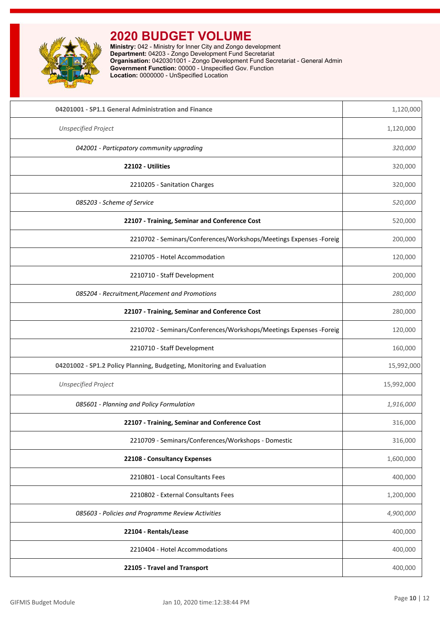

| 04201001 - SP1.1 General Administration and Finance                    | 1,120,000  |
|------------------------------------------------------------------------|------------|
| <b>Unspecified Project</b>                                             | 1,120,000  |
| 042001 - Particpatory community upgrading                              | 320,000    |
| 22102 - Utilities                                                      | 320,000    |
| 2210205 - Sanitation Charges                                           | 320,000    |
| 085203 - Scheme of Service                                             | 520,000    |
| 22107 - Training, Seminar and Conference Cost                          | 520,000    |
| 2210702 - Seminars/Conferences/Workshops/Meetings Expenses - Foreig    | 200,000    |
| 2210705 - Hotel Accommodation                                          | 120,000    |
| 2210710 - Staff Development                                            | 200,000    |
| 085204 - Recruitment, Placement and Promotions                         | 280,000    |
| 22107 - Training, Seminar and Conference Cost                          | 280,000    |
| 2210702 - Seminars/Conferences/Workshops/Meetings Expenses -Foreig     | 120,000    |
| 2210710 - Staff Development                                            | 160,000    |
| 04201002 - SP1.2 Policy Planning, Budgeting, Monitoring and Evaluation | 15,992,000 |
| <b>Unspecified Project</b>                                             | 15,992,000 |
| 085601 - Planning and Policy Formulation                               | 1,916,000  |
| 22107 - Training, Seminar and Conference Cost                          | 316,000    |
| 2210709 - Seminars/Conferences/Workshops - Domestic                    | 316,000    |
| 22108 - Consultancy Expenses                                           | 1,600,000  |
| 2210801 - Local Consultants Fees                                       | 400,000    |
| 2210802 - External Consultants Fees                                    | 1,200,000  |
| 085603 - Policies and Programme Review Activities                      | 4,900,000  |
| 22104 - Rentals/Lease                                                  | 400,000    |
| 2210404 - Hotel Accommodations                                         | 400,000    |
| 22105 - Travel and Transport                                           | 400,000    |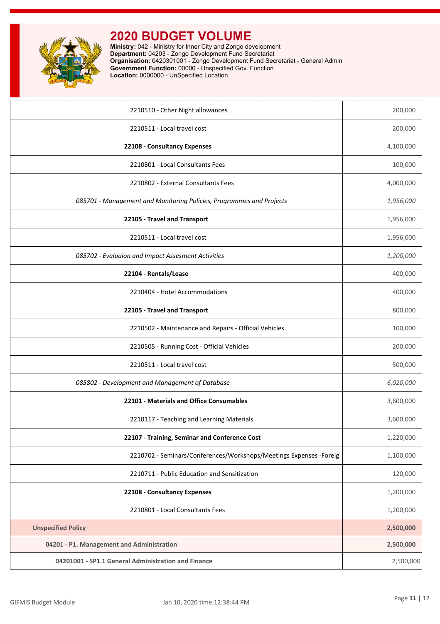

| 2210510 - Other Night allowances                                     | 200,000   |
|----------------------------------------------------------------------|-----------|
| 2210511 - Local travel cost                                          | 200,000   |
| 22108 - Consultancy Expenses                                         | 4,100,000 |
| 2210801 - Local Consultants Fees                                     | 100,000   |
| 2210802 - External Consultants Fees                                  | 4,000,000 |
| 085701 - Management and Monitoring Policies, Programmes and Projects | 1,956,000 |
| 22105 - Travel and Transport                                         | 1,956,000 |
| 2210511 - Local travel cost                                          | 1,956,000 |
| 085702 - Evaluaion and Impact Assesment Activities                   | 1,200,000 |
| 22104 - Rentals/Lease                                                | 400,000   |
| 2210404 - Hotel Accommodations                                       | 400,000   |
| 22105 - Travel and Transport                                         | 800,000   |
| 2210502 - Maintenance and Repairs - Official Vehicles                | 100,000   |
| 2210505 - Running Cost - Official Vehicles                           | 200,000   |
| 2210511 - Local travel cost                                          | 500,000   |
| 085802 - Development and Management of Database                      | 6,020,000 |
| 22101 - Materials and Office Consumables                             | 3,600,000 |
| 2210117 - Teaching and Learning Materials                            | 3,600,000 |
| 22107 - Training, Seminar and Conference Cost                        | 1,220,000 |
| 2210702 - Seminars/Conferences/Workshops/Meetings Expenses -Foreig   | 1,100,000 |
| 2210711 - Public Education and Sensitization                         | 120,000   |
| 22108 - Consultancy Expenses                                         | 1,200,000 |
| 2210801 - Local Consultants Fees                                     | 1,200,000 |
| <b>Unspecified Policy</b>                                            | 2,500,000 |
| 04201 - P1. Management and Administration                            | 2,500,000 |
| 04201001 - SP1.1 General Administration and Finance                  | 2,500,000 |